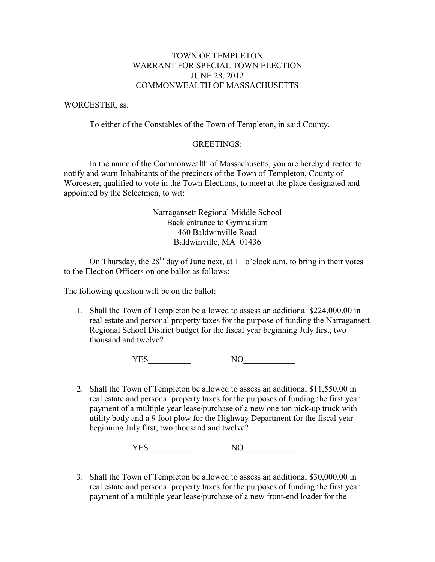# TOWN OF TEMPLETON WARRANT FOR SPECIAL TOWN ELECTION JUNE 28, 2012 COMMONWEALTH OF MASSACHUSETTS

### WORCESTER, ss.

To either of the Constables of the Town of Templeton, in said County.

#### GREETINGS:

 In the name of the Commonwealth of Massachusetts, you are hereby directed to notify and warn Inhabitants of the precincts of the Town of Templeton, County of Worcester, qualified to vote in the Town Elections, to meet at the place designated and appointed by the Selectmen, to wit:

## Narragansett Regional Middle School Back entrance to Gymnasium 460 Baldwinville Road Baldwinville, MA 01436

On Thursday, the  $28<sup>th</sup>$  day of June next, at 11 o'clock a.m. to bring in their votes to the Election Officers on one ballot as follows:

The following question will be on the ballot:

1. Shall the Town of Templeton be allowed to assess an additional \$224,000.00 in real estate and personal property taxes for the purpose of funding the Narragansett Regional School District budget for the fiscal year beginning July first, two thousand and twelve?

YES\_\_\_\_\_\_\_\_\_\_ NO\_\_\_\_\_\_\_\_\_\_\_\_

2. Shall the Town of Templeton be allowed to assess an additional \$11,550.00 in real estate and personal property taxes for the purposes of funding the first year payment of a multiple year lease/purchase of a new one ton pick-up truck with utility body and a 9 foot plow for the Highway Department for the fiscal year beginning July first, two thousand and twelve?

YES\_\_\_\_\_\_\_\_\_\_ NO\_\_\_\_\_\_\_\_\_\_\_\_

3. Shall the Town of Templeton be allowed to assess an additional \$30,000.00 in real estate and personal property taxes for the purposes of funding the first year payment of a multiple year lease/purchase of a new front-end loader for the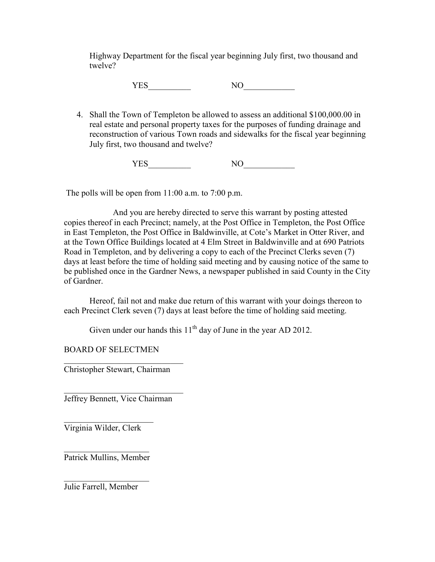Highway Department for the fiscal year beginning July first, two thousand and twelve?

YES NO

4. Shall the Town of Templeton be allowed to assess an additional \$100,000.00 in real estate and personal property taxes for the purposes of funding drainage and reconstruction of various Town roads and sidewalks for the fiscal year beginning July first, two thousand and twelve?

YES\_\_\_\_\_\_\_\_\_\_ NO\_\_\_\_\_\_\_\_\_\_\_\_

The polls will be open from 11:00 a.m. to 7:00 p.m.

 And you are hereby directed to serve this warrant by posting attested copies thereof in each Precinct; namely, at the Post Office in Templeton, the Post Office in East Templeton, the Post Office in Baldwinville, at Cote's Market in Otter River, and at the Town Office Buildings located at 4 Elm Street in Baldwinville and at 690 Patriots Road in Templeton, and by delivering a copy to each of the Precinct Clerks seven (7) days at least before the time of holding said meeting and by causing notice of the same to be published once in the Gardner News, a newspaper published in said County in the City of Gardner.

 Hereof, fail not and make due return of this warrant with your doings thereon to each Precinct Clerk seven (7) days at least before the time of holding said meeting.

Given under our hands this  $11<sup>th</sup>$  day of June in the year AD 2012.

BOARD OF SELECTMEN

 $\overline{\phantom{a}}$  ,  $\overline{\phantom{a}}$  ,  $\overline{\phantom{a}}$  ,  $\overline{\phantom{a}}$  ,  $\overline{\phantom{a}}$  ,  $\overline{\phantom{a}}$  ,  $\overline{\phantom{a}}$  ,  $\overline{\phantom{a}}$  ,  $\overline{\phantom{a}}$  ,  $\overline{\phantom{a}}$  ,  $\overline{\phantom{a}}$  ,  $\overline{\phantom{a}}$  ,  $\overline{\phantom{a}}$  ,  $\overline{\phantom{a}}$  ,  $\overline{\phantom{a}}$  ,  $\overline{\phantom{a}}$ Christopher Stewart, Chairman

 $\overline{\phantom{a}}$  ,  $\overline{\phantom{a}}$  ,  $\overline{\phantom{a}}$  ,  $\overline{\phantom{a}}$  ,  $\overline{\phantom{a}}$  ,  $\overline{\phantom{a}}$  ,  $\overline{\phantom{a}}$  ,  $\overline{\phantom{a}}$  ,  $\overline{\phantom{a}}$  ,  $\overline{\phantom{a}}$  ,  $\overline{\phantom{a}}$  ,  $\overline{\phantom{a}}$  ,  $\overline{\phantom{a}}$  ,  $\overline{\phantom{a}}$  ,  $\overline{\phantom{a}}$  ,  $\overline{\phantom{a}}$ Jeffrey Bennett, Vice Chairman

 $\overline{\phantom{a}}$  , which is a set of the set of the set of the set of the set of the set of the set of the set of the set of the set of the set of the set of the set of the set of the set of the set of the set of the set of th Virginia Wilder, Clerk

 $\overline{\phantom{a}}$  , which is a set of the set of the set of the set of the set of the set of the set of the set of the set of the set of the set of the set of the set of the set of the set of the set of the set of the set of th Patrick Mullins, Member

 $\overline{\phantom{a}}$  , which is a set of the set of the set of the set of the set of the set of the set of the set of the set of the set of the set of the set of the set of the set of the set of the set of the set of the set of th Julie Farrell, Member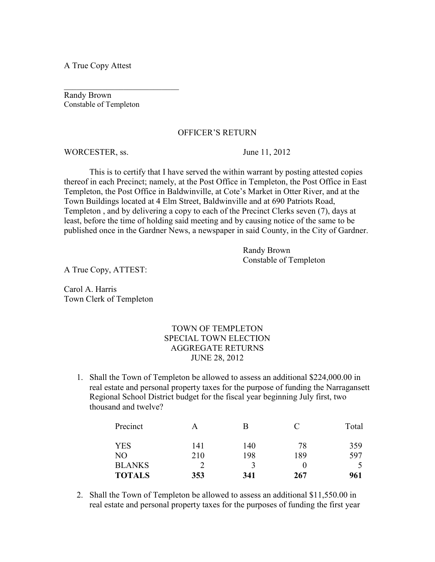A True Copy Attest

Randy Brown Constable of Templeton

\_\_\_\_\_\_\_\_\_\_\_\_\_\_\_\_\_\_\_\_\_\_\_\_\_\_\_

### OFFICER'S RETURN

WORCESTER, ss. June 11, 2012

 This is to certify that I have served the within warrant by posting attested copies thereof in each Precinct; namely, at the Post Office in Templeton, the Post Office in East Templeton, the Post Office in Baldwinville, at Cote's Market in Otter River, and at the Town Buildings located at 4 Elm Street, Baldwinville and at 690 Patriots Road, Templeton , and by delivering a copy to each of the Precinct Clerks seven (7), days at least, before the time of holding said meeting and by causing notice of the same to be published once in the Gardner News, a newspaper in said County, in the City of Gardner.

> Randy Brown Constable of Templeton

A True Copy, ATTEST:

Carol A. Harris Town Clerk of Templeton

# TOWN OF TEMPLETON SPECIAL TOWN ELECTION AGGREGATE RETURNS JUNE 28, 2012

1. Shall the Town of Templeton be allowed to assess an additional \$224,000.00 in real estate and personal property taxes for the purpose of funding the Narragansett Regional School District budget for the fiscal year beginning July first, two thousand and twelve?

| Precinct      | A   |     |     | Total |
|---------------|-----|-----|-----|-------|
| YES           | 141 | 140 | 78  | 359   |
| NO            | 210 | 198 | 189 | 597   |
| <b>BLANKS</b> |     |     |     |       |
| <b>TOTALS</b> | 353 | 341 | 267 | 961   |

2. Shall the Town of Templeton be allowed to assess an additional \$11,550.00 in real estate and personal property taxes for the purposes of funding the first year